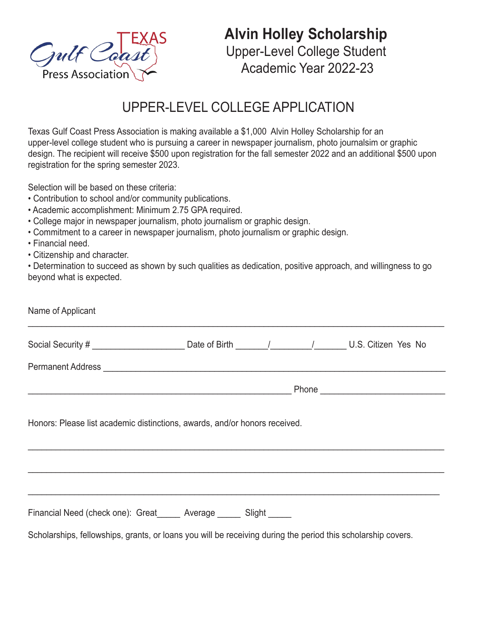

**Alvin Holley Scholarship** Upper-Level College Student Academic Year 2022-23

## UPPER-LEVEL COLLEGE APPLICATION

Texas Gulf Coast Press Association is making available a \$1,000 Alvin Holley Scholarship for an upper-level college student who is pursuing a career in newspaper journalism, photo journalsim or graphic design. The recipient will receive \$500 upon registration for the fall semester 2022 and an additional \$500 upon registration for the spring semester 2023.

Selection will be based on these criteria:

- Contribution to school and/or community publications.
- Academic accomplishment: Minimum 2.75 GPA required.
- College major in newspaper journalism, photo journalism or graphic design.
- Commitment to a career in newspaper journalism, photo journalism or graphic design.
- Financial need.
- Citizenship and character.

• Determination to succeed as shown by such qualities as dedication, positive approach, and willingness to go beyond what is expected.

| Name of Applicant                                                                                            |  |  |  |  |  |
|--------------------------------------------------------------------------------------------------------------|--|--|--|--|--|
| Social Security # __________________________________Date of Birth ________/ ___________/ U.S. Citizen Yes No |  |  |  |  |  |
|                                                                                                              |  |  |  |  |  |
|                                                                                                              |  |  |  |  |  |
| Honors: Please list academic distinctions, awards, and/or honors received.                                   |  |  |  |  |  |
|                                                                                                              |  |  |  |  |  |
| Financial Need (check one): Great______ Average ______ Slight _____                                          |  |  |  |  |  |
| Scholarships, fellowships, grants, or loans you will be receiving during the period this scholarship covers. |  |  |  |  |  |